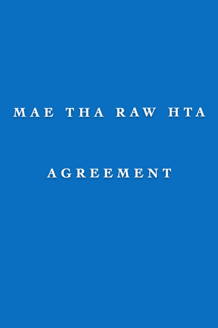# MAE THA RAW HTA

## AGREEMENT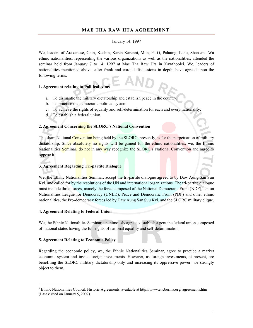#### **MAE THA RAW HTA AGREEMENT1**

#### January 14, 1997

We, leaders of Arakanese, Chin, Kachin, Karen Karenni, Mon, Pa-O, Palaung, Lahu, Shan and Wa ethnic nationalities, representing the various organizations as well as the nationalities, attended the seminar held from January 7 to 14, 1997 at Mae Tha Raw Hta in Kawthoolei. We, leaders of nationalities mentioned above, after frank and cordial discussions in depth, have agreed upon the following terms.

### **1. Agreement relating to Political Aims**

- a. To dismantle the military dictatorship and establish peace in the country;
- b. To practice the democratic political system;
- c. To achieve the rights of equality and self-determination for each and every nationality;
- d. To establish a federal union.

#### **2. Agreement Concerning the SLORC's National Convention**

The sham National Convention being held by the SLORC, presently, is for the perpetuation of military dictatorship. Since absolutely no rights will be gained for the ethnic nationalities, we, the Ethnic Nationalities Seminar, do not in any way recognize the SLORC's National Convention and agree to oppose it.

#### **3. Agreement Regarding Tri-partite Dialogue**

We, the Ethnic Nationalities Seminar, accept the tri-partite dialogue agreed to by Daw Aung San Suu Kyi, and called for by the resolutions of the UN and international organizations. The tri-partite dialogue must include three forces, namely the force composed of the National Democratic Front (NDF), Union Nationalities League for Democracy (UNLD), Peace and Democratic Front (PDF) and other ethnic nationalities, the Pro-democracy forces led by Daw Aung San Suu Kyi, and the SLORC military clique.

#### **4. Agreement Relating to Federal Union**

We, the Ethnic Nationalities Seminar, unanimously agree to establish a genuine federal union composed of national states having the full rights of national equality and self-determination.

#### **5. Agreement Relating to Economic Policy**

 $\overline{a}$ 

Regarding the economic policy, we, the Ethnic Nationalities Seminar, agree to practice a market economic system and invite foreign investments. However, as foreign investments, at present, are benefiting the SLORC military dictatorship only and increasing its oppressive power, we strongly object to them.

<sup>&</sup>lt;sup>1</sup> Ethnic Nationalities Council, Historic Agreements, available at http://www.encburma.org/ agreements.htm (Last visited on January 5, 2007).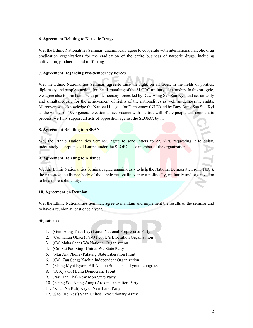#### **6. Agreement Relating to Narcotic Drugs**

We, the Ethnic Nationalities Seminar, unanimously agree to cooperate with international narcotic drug eradication organizations for the eradication of the entire business of narcotic drugs, including cultivation, production and trafficking.

#### **7. Agreement Regarding Pro-democracy Forces**

We, the Ethnic Nationalities Seminar, agree to raise the fight, on all sides, in the fields of politics, diplomacy and people's action, for the dismantling of the SLORC military dictatorship. In this struggle, we agree also to join hands with prodemocracy forces led by Daw Aung San Suu Kyi, and act unitedly and simultaneously for the achievement of rights of the nationalities as well as democratic rights. Moreover, we acknowledge the National League for Democracy (NLD) led by Daw Aung San Suu Kyi as the winner of 1990 general election an accordance with the true will of the people and democratic process, we fully support all acts of opposition against the SLORC, by it.

#### **8. Agreement Relating to ASEAN**

We, the Ethnic Nationalities Seminar, agree to send letters to ASEAN, requesting it to delay. indefinitely, acceptance of Burma under the SLORC, as a member of the organization.

#### **9. Agreement Relating to Alliance**

We, the Ethnic Nationalities Seminar, agree unanimously to help the National Democratic Front (NDF), the nation-wide alliance body of the ethnic nationalities, into a politically, militarily and organization to be a more solid entity.

#### **10. Agreement on Reunion**

We, the Ethnic Nationalities Seminar, agree to maintain and implement the results of the seminar and to have a reunion at least once a year.

#### **Signatories**

- 1. (Gen. Aung Than Lay) Karen National Progressive Party
- 2. (Col. Khun Okker) Pa-O People's Liberation Organization
- 3. (Col Maha Sean) Wa National Organization
- 4. (Col Sai Pao Sing) United Wa State Party
- 5. (Mai Aik Phone) Palaung State Liberation Front
- 6. (Col. Zau Seng) Kachin Independent Organization
- 7. (Khing Myat Kyaw) All Araken Students and youth congress
- 8. (B. Kya Oo) Lahu Democratic Front
- 9. (Nai Han Tha) New Mon State Party
- 10. (Khing Soe Naing Aung) Araken Liberation Party
- 11. (Khun Na Ruh) Kayan New Land Party
- 12. (Sao Oac Kesi) Shan United Revolutionary Army